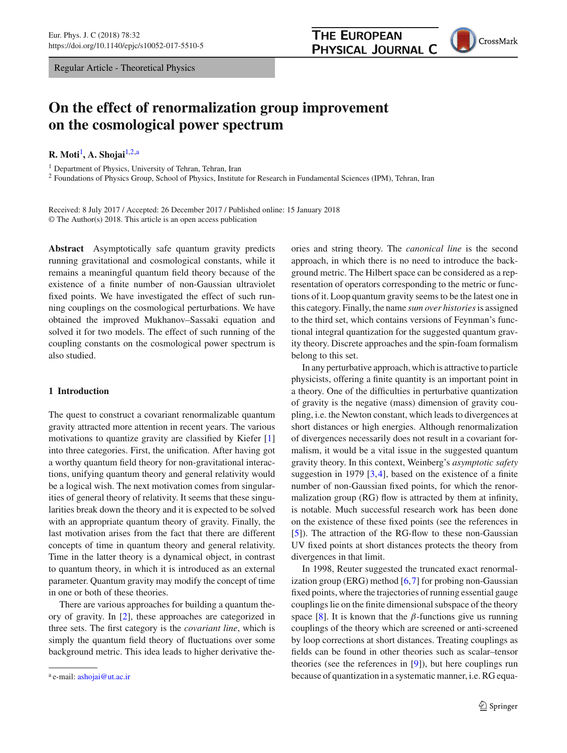Regular Article - Theoretical Physics

# **On the effect of renormalization group improvement on the cosmological power spectrum**

**R. Moti**[1](#page-0-0) **, A. Shojai**[1,2,](#page-0-0)a

<sup>1</sup> Department of Physics, University of Tehran, Tehran, Iran

<sup>2</sup> Foundations of Physics Group, School of Physics, Institute for Research in Fundamental Sciences (IPM), Tehran, Iran

Received: 8 July 2017 / Accepted: 26 December 2017 / Published online: 15 January 2018 © The Author(s) 2018. This article is an open access publication

**Abstract** Asymptotically safe quantum gravity predicts running gravitational and cosmological constants, while it remains a meaningful quantum field theory because of the existence of a finite number of non-Gaussian ultraviolet fixed points. We have investigated the effect of such running couplings on the cosmological perturbations. We have obtained the improved Mukhanov–Sassaki equation and solved it for two models. The effect of such running of the coupling constants on the cosmological power spectrum is also studied.

#### **1 Introduction**

The quest to construct a covariant renormalizable quantum gravity attracted more attention in recent years. The various motivations to quantize gravity are classified by Kiefer [\[1\]](#page-10-0) into three categories. First, the unification. After having got a worthy quantum field theory for non-gravitational interactions, unifying quantum theory and general relativity would be a logical wish. The next motivation comes from singularities of general theory of relativity. It seems that these singularities break down the theory and it is expected to be solved with an appropriate quantum theory of gravity. Finally, the last motivation arises from the fact that there are different concepts of time in quantum theory and general relativity. Time in the latter theory is a dynamical object, in contrast to quantum theory, in which it is introduced as an external parameter. Quantum gravity may modify the concept of time in one or both of these theories.

There are various approaches for building a quantum theory of gravity. In [\[2\]](#page-10-1), these approaches are categorized in three sets. The first category is the *covariant line*, which is simply the quantum field theory of fluctuations over some background metric. This idea leads to higher derivative the<span id="page-0-0"></span>ories and string theory. The *canonical line* is the second approach, in which there is no need to introduce the background metric. The Hilbert space can be considered as a representation of operators corresponding to the metric or functions of it. Loop quantum gravity seems to be the latest one in this category. Finally, the name *sum over histories*is assigned to the third set, which contains versions of Feynman's functional integral quantization for the suggested quantum gravity theory. Discrete approaches and the spin-foam formalism belong to this set.

In any perturbative approach, which is attractive to particle physicists, offering a finite quantity is an important point in a theory. One of the difficulties in perturbative quantization of gravity is the negative (mass) dimension of gravity coupling, i.e. the Newton constant, which leads to divergences at short distances or high energies. Although renormalization of divergences necessarily does not result in a covariant formalism, it would be a vital issue in the suggested quantum gravity theory. In this context, Weinberg's *asymptotic safety* suggestion in 1979 [\[3](#page-10-2)[,4](#page-10-3)], based on the existence of a finite number of non-Gaussian fixed points, for which the renormalization group (RG) flow is attracted by them at infinity, is notable. Much successful research work has been done on the existence of these fixed points (see the references in [\[5](#page-10-4)]). The attraction of the RG-flow to these non-Gaussian UV fixed points at short distances protects the theory from divergences in that limit.

In 1998, Reuter suggested the truncated exact renormalization group (ERG) method  $[6,7]$  $[6,7]$  $[6,7]$  for probing non-Gaussian fixed points, where the trajectories of running essential gauge couplings lie on the finite dimensional subspace of the theory space [\[8\]](#page-10-7). It is known that the  $\beta$ -functions give us running couplings of the theory which are screened or anti-screened by loop corrections at short distances. Treating couplings as fields can be found in other theories such as scalar–tensor theories (see the references in [\[9\]](#page-10-8)), but here couplings run because of quantization in a systematic manner, i.e. RG equa-



a e-mail: [ashojai@ut.ac.ir](mailto:ashojai@ut.ac.ir)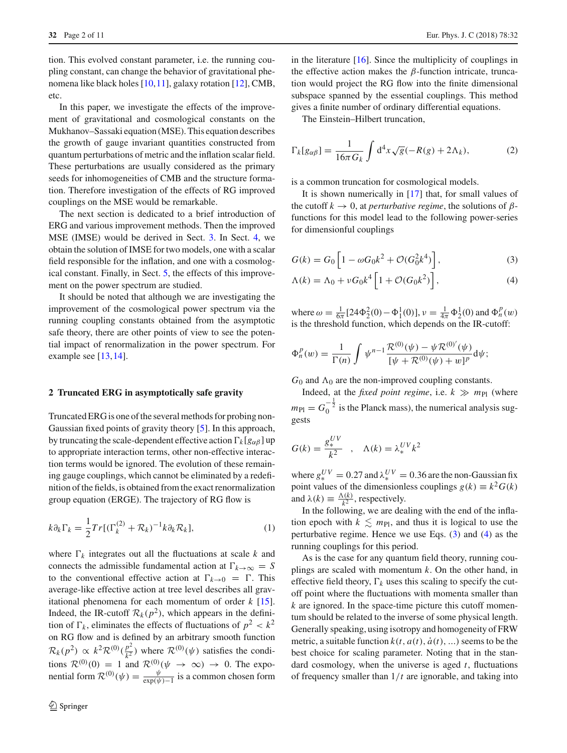tion. This evolved constant parameter, i.e. the running coupling constant, can change the behavior of gravitational phenomena like black holes [\[10](#page-10-9)[,11](#page-10-10)], galaxy rotation [\[12\]](#page-10-11), CMB, etc.

In this paper, we investigate the effects of the improvement of gravitational and cosmological constants on the Mukhanov–Sassaki equation (MSE). This equation describes the growth of gauge invariant quantities constructed from quantum perturbations of metric and the inflation scalar field. These perturbations are usually considered as the primary seeds for inhomogeneities of CMB and the structure formation. Therefore investigation of the effects of RG improved couplings on the MSE would be remarkable.

The next section is dedicated to a brief introduction of ERG and various improvement methods. Then the improved MSE (IMSE) would be derived in Sect. [3.](#page-2-0) In Sect. [4,](#page-4-0) we obtain the solution of IMSE for two models, one with a scalar field responsible for the inflation, and one with a cosmological constant. Finally, in Sect. [5,](#page-8-0) the effects of this improvement on the power spectrum are studied.

It should be noted that although we are investigating the improvement of the cosmological power spectrum via the running coupling constants obtained from the asymptotic safe theory, there are other points of view to see the potential impact of renormalization in the power spectrum. For example see [\[13,](#page-10-12)[14\]](#page-10-13).

#### **2 Truncated ERG in asymptotically safe gravity**

Truncated ERG is one of the several methods for probing non-Gaussian fixed points of gravity theory [\[5](#page-10-4)]. In this approach, by truncating the scale-dependent effective action  $\Gamma_k[g_{\alpha\beta}]$  up to appropriate interaction terms, other non-effective interaction terms would be ignored. The evolution of these remaining gauge couplings, which cannot be eliminated by a redefinition of the fields, is obtained from the exact renormalization group equation (ERGE). The trajectory of RG flow is

$$
k\partial_k \Gamma_k = \frac{1}{2} Tr[(\Gamma_k^{(2)} + \mathcal{R}_k)^{-1} k \partial_k \mathcal{R}_k],
$$
 (1)

where  $\Gamma_k$  integrates out all the fluctuations at scale  $k$  and connects the admissible fundamental action at  $\Gamma_{k\to\infty} = S$ to the conventional effective action at  $\Gamma_{k\to 0} = \Gamma$ . This average-like effective action at tree level describes all gravitational phenomena for each momentum of order *k* [\[15](#page-10-14)]. Indeed, the IR-cutoff  $\mathcal{R}_k(p^2)$ , which appears in the definition of  $\Gamma_k$ , eliminates the effects of fluctuations of  $p^2 < k^2$ on RG flow and is defined by an arbitrary smooth function  $\mathcal{R}_k(p^2) \propto k^2 \mathcal{R}^{(0)}(\frac{p^2}{k^2})$  where  $\mathcal{R}^{(0)}(\psi)$  satisfies the conditions  $\mathcal{R}^{(0)}(0) = 1$  and  $\mathcal{R}^{(0)}(\psi \to \infty) \to 0$ . The exponential form  $\mathcal{R}^{(0)}(\psi) = \frac{\psi}{\exp(\psi) - 1}$  is a common chosen form

in the literature  $[16]$  $[16]$ . Since the multiplicity of couplings in the effective action makes the  $β$ -function intricate, truncation would project the RG flow into the finite dimensional subspace spanned by the essential couplings. This method gives a finite number of ordinary differential equations.

The Einstein–Hilbert truncation,

$$
\Gamma_k[g_{\alpha\beta}] = \frac{1}{16\pi G_k} \int d^4x \sqrt{g}(-R(g) + 2\Lambda_k),\tag{2}
$$

is a common truncation for cosmological models.

It is shown numerically in [\[17\]](#page-10-16) that, for small values of the cutoff  $k \to 0$ , at *perturbative regime*, the solutions of  $\beta$ functions for this model lead to the following power-series for dimensionful couplings

<span id="page-1-0"></span>
$$
G(k) = G_0 \left[ 1 - \omega G_0 k^2 + \mathcal{O}(G_0^2 k^4) \right],
$$
 (3)

<span id="page-1-1"></span>
$$
\Lambda(k) = \Lambda_0 + \nu G_0 k^4 \left[ 1 + \mathcal{O}(G_0 k^2) \right],\tag{4}
$$

where  $\omega = \frac{1}{6\pi} [24\Phi_2^2(0) - \Phi_1^1(0)], \nu = \frac{1}{4\pi} \Phi_2^1(0)$  and  $\Phi_n^p(w)$ is the threshold function, which depends on the IR-cutoff:

$$
\Phi_n^p(w) = \frac{1}{\Gamma(n)} \int \psi^{n-1} \frac{\mathcal{R}^{(0)}(\psi) - \psi \mathcal{R}^{(0)'}(\psi)}{[\psi + \mathcal{R}^{(0)}(\psi) + w]^p} d\psi;
$$

 $G_0$  and  $\Lambda_0$  are the non-improved coupling constants.

Indeed, at the *fixed point regime*, i.e.  $k \gg m_{\text{Pl}}$  (where  $m_{\text{Pl}} = G_0^{-\frac{1}{2}}$  is the Planck mass), the numerical analysis suggests

$$
G(k) = \frac{g_*^{UV}}{k^2} \quad , \quad \Lambda(k) = \lambda_*^{UV} k^2
$$

where  $g_*^{UV} = 0.27$  and  $\lambda_*^{UV} = 0.36$  are the non-Gaussian fix point values of the dimensionless couplings  $g(k) \equiv k^2 G(k)$ and  $\lambda(k) \equiv \frac{\Lambda(k)}{k^2}$ , respectively.

In the following, we are dealing with the end of the inflation epoch with  $k \leq m_{\text{Pl}}$ , and thus it is logical to use the perturbative regime. Hence we use Eqs. [\(3\)](#page-1-0) and [\(4\)](#page-1-1) as the running couplings for this period.

As is the case for any quantum field theory, running couplings are scaled with momentum *k*. On the other hand, in effective field theory,  $\Gamma_k$  uses this scaling to specify the cutoff point where the fluctuations with momenta smaller than *k* are ignored. In the space-time picture this cutoff momentum should be related to the inverse of some physical length. Generally speaking, using isotropy and homogeneity of FRW metric, a suitable function  $k(t, a(t), \dot{a}(t), ...)$  seems to be the best choice for scaling parameter. Noting that in the standard cosmology, when the universe is aged *t*, fluctuations of frequency smaller than 1/*t* are ignorable, and taking into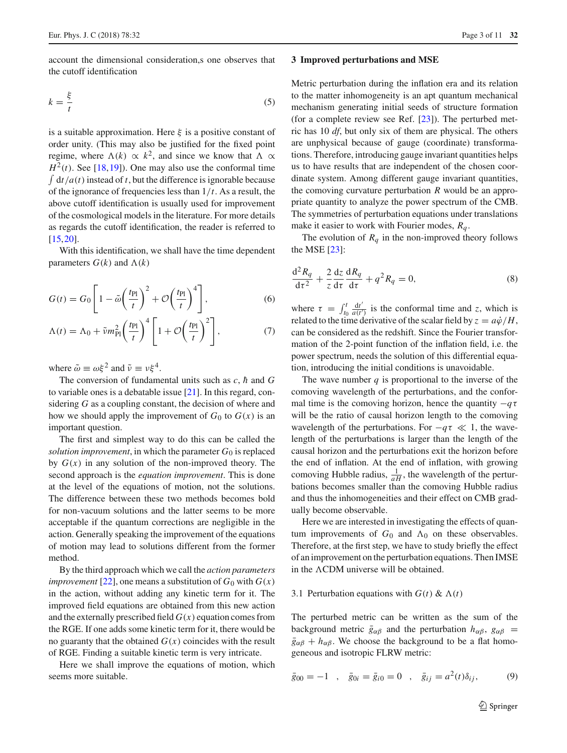account the dimensional consideration,s one observes that the cutoff identification

$$
k = \frac{\xi}{t} \tag{5}
$$

is a suitable approximation. Here  $\xi$  is a positive constant of order unity. (This may also be justified for the fixed point regime, where  $\Lambda(k) \propto k^2$ , and since we know that  $\Lambda \propto$  $H^2(t)$ . See [\[18,](#page-10-17)[19\]](#page-10-18)). One may also use the conformal time  $\int dt/a(t)$  instead of *t*, but the difference is ignorable because of the ignorance of frequencies less than 1/*t*. As a result, the above cutoff identification is usually used for improvement of the cosmological models in the literature. For more details as regards the cutoff identification, the reader is referred to [\[15](#page-10-14),[20\]](#page-10-19).

With this identification, we shall have the time dependent parameters  $G(k)$  and  $\Lambda(k)$ 

$$
G(t) = G_0 \left[ 1 - \tilde{\omega} \left( \frac{t_{\text{Pl}}}{t} \right)^2 + \mathcal{O} \left( \frac{t_{\text{Pl}}}{t} \right)^4 \right],\tag{6}
$$

$$
\Lambda(t) = \Lambda_0 + \tilde{\nu} m_{\text{Pl}}^2 \left(\frac{t_{\text{Pl}}}{t}\right)^4 \left[1 + \mathcal{O}\left(\frac{t_{\text{Pl}}}{t}\right)^2\right],\tag{7}
$$

where  $\tilde{\omega} \equiv \omega \xi^2$  and  $\tilde{\nu} \equiv \nu \xi^4$ .

The conversion of fundamental units such as  $c$ ,  $\hbar$  and  $G$ to variable ones is a debatable issue [\[21\]](#page-10-20). In this regard, considering *G* as a coupling constant, the decision of where and how we should apply the improvement of  $G_0$  to  $G(x)$  is an important question.

The first and simplest way to do this can be called the *solution improvement*, in which the parameter  $G_0$  is replaced by  $G(x)$  in any solution of the non-improved theory. The second approach is the *equation improvement*. This is done at the level of the equations of motion, not the solutions. The difference between these two methods becomes bold for non-vacuum solutions and the latter seems to be more acceptable if the quantum corrections are negligible in the action. Generally speaking the improvement of the equations of motion may lead to solutions different from the former method.

By the third approach which we call the *action parameters improvement* [\[22](#page-10-21)], one means a substitution of  $G_0$  with  $G(x)$ in the action, without adding any kinetic term for it. The improved field equations are obtained from this new action and the externally prescribed field  $G(x)$  equation comes from the RGE. If one adds some kinetic term for it, there would be no guaranty that the obtained  $G(x)$  coincides with the result of RGE. Finding a suitable kinetic term is very intricate.

Here we shall improve the equations of motion, which seems more suitable.

#### <span id="page-2-0"></span>**3 Improved perturbations and MSE**

Metric perturbation during the inflation era and its relation to the matter inhomogeneity is an apt quantum mechanical mechanism generating initial seeds of structure formation (for a complete review see Ref. [\[23\]](#page-10-22)). The perturbed metric has 10 *df*, but only six of them are physical. The others are unphysical because of gauge (coordinate) transformations. Therefore, introducing gauge invariant quantities helps us to have results that are independent of the chosen coordinate system. Among different gauge invariant quantities, the comoving curvature perturbation *R* would be an appropriate quantity to analyze the power spectrum of the CMB. The symmetries of perturbation equations under translations make it easier to work with Fourier modes, *Rq* .

<span id="page-2-1"></span>The evolution of  $R_q$  in the non-improved theory follows the MSE [\[23](#page-10-22)]:

$$
\frac{\mathrm{d}^2 R_q}{\mathrm{d}\tau^2} + \frac{2}{z} \frac{\mathrm{d}z}{\mathrm{d}\tau} \frac{\mathrm{d}R_q}{\mathrm{d}\tau} + q^2 R_q = 0,\tag{8}
$$

<span id="page-2-3"></span><span id="page-2-2"></span>where  $\tau = \int_{t_0}^t \frac{dt'}{a(t')}$  is the conformal time and *z*, which is related to the time derivative of the scalar field by  $z = a\dot{\varphi}/H$ , can be considered as the redshift. Since the Fourier transformation of the 2-point function of the inflation field, i.e. the power spectrum, needs the solution of this differential equation, introducing the initial conditions is unavoidable.

The wave number  $q$  is proportional to the inverse of the comoving wavelength of the perturbations, and the conformal time is the comoving horizon, hence the quantity  $-q\tau$ will be the ratio of causal horizon length to the comoving wavelength of the perturbations. For  $-q\tau \ll 1$ , the wavelength of the perturbations is larger than the length of the causal horizon and the perturbations exit the horizon before the end of inflation. At the end of inflation, with growing comoving Hubble radius,  $\frac{1}{aH}$ , the wavelength of the perturbations becomes smaller than the comoving Hubble radius and thus the inhomogeneities and their effect on CMB gradually become observable.

Here we are interested in investigating the effects of quantum improvements of  $G_0$  and  $\Lambda_0$  on these observables. Therefore, at the first step, we have to study briefly the effect of an improvement on the perturbation equations. Then IMSE in the  $\Lambda$ CDM universe will be obtained.

#### 3.1 Perturbation equations with  $G(t) \& \Lambda(t)$

The perturbed metric can be written as the sum of the background metric  $\bar{g}_{\alpha\beta}$  and the perturbation  $h_{\alpha\beta}$ ,  $g_{\alpha\beta}$  =  $\bar{g}_{\alpha\beta} + h_{\alpha\beta}$ . We choose the background to be a flat homogeneous and isotropic FLRW metric:

$$
\bar{g}_{00} = -1
$$
,  $\bar{g}_{0i} = \bar{g}_{i0} = 0$ ,  $\bar{g}_{ij} = a^2(t)\delta_{ij}$ , (9)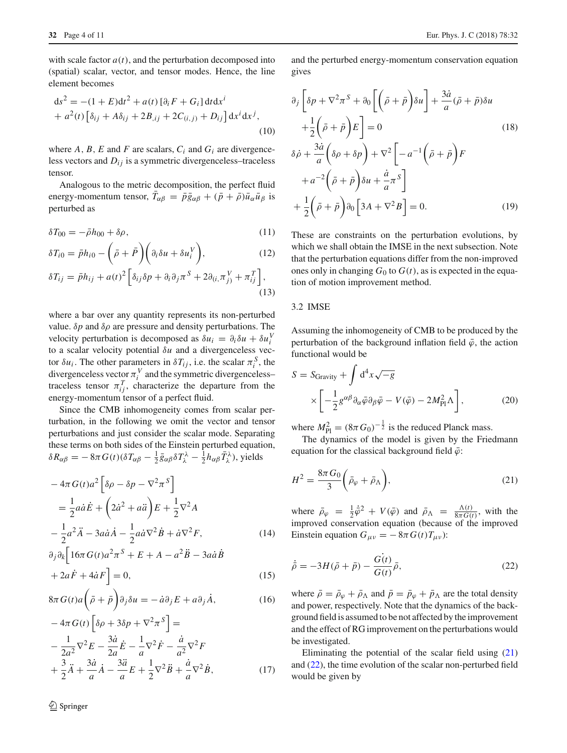with scale factor  $a(t)$ , and the perturbation decomposed into (spatial) scalar, vector, and tensor modes. Hence, the line element becomes

$$
ds^{2} = -(1 + E)dt^{2} + a(t) [\partial_{i} F + G_{i}] dt dx^{i}
$$
  
+  $a^{2}(t) [\delta_{ij} + A\delta_{ij} + 2B_{,ij} + 2C_{(i,j)} + D_{ij}] dx^{i} dx^{j},$  (10)

where  $A$ ,  $B$ ,  $E$  and  $F$  are scalars,  $C_i$  and  $G_i$  are divergenceless vectors and  $D_{ij}$  is a symmetric divergenceless–traceless tensor.

Analogous to the metric decomposition, the perfect fluid energy-momentum tensor,  $T_{\alpha\beta} = \bar{p}\bar{g}_{\alpha\beta} + (\bar{p} + \bar{\rho})\bar{u}_{\alpha}\bar{u}_{\beta}$  is perturbed as

$$
\delta T_{00} = -\bar{\rho}h_{00} + \delta \rho, \qquad (11)
$$

$$
\delta T_{i0} = \bar{p}h_{i0} - \left(\bar{\rho} + \bar{P}\right)\left(\partial_i \delta u + \delta u_i^V\right),\tag{12}
$$

$$
\delta T_{ij} = \bar{p}h_{ij} + a(t)^2 \left[ \delta_{ij}\delta p + \partial_i\partial_j \pi^S + 2\partial_{(i, \pi^V_{j})} + \pi^T_{ij} \right],
$$
\n(13)

where a bar over any quantity represents its non-perturbed value.  $\delta p$  and  $\delta \rho$  are pressure and density perturbations. The velocity perturbation is decomposed as  $\delta u_i = \partial_i \delta u + \delta u_i^V$ to a scalar velocity potential δ*u* and a divergenceless vector  $\delta u_i$ . The other parameters in  $\delta T_{ij}$ , i.e. the scalar  $\pi_i^S$ , the divergenceless vector  $\pi_i^V$  and the symmetric divergenceless– traceless tensor  $\pi_{ij}^T$ , characterize the departure from the energy-momentum tensor of a perfect fluid.

Since the CMB inhomogeneity comes from scalar perturbation, in the following we omit the vector and tensor perturbations and just consider the scalar mode. Separating these terms on both sides of the Einstein perturbed equation,  $\delta R_{\alpha\beta} = -8\pi G(t) (\delta T_{\alpha\beta} - \frac{1}{2} \bar{g}_{\alpha\beta} \delta T_{\lambda}^{\lambda} - \frac{1}{2} h_{\alpha\beta} \bar{T}_{\lambda}^{\lambda}),$  yields

$$
-4\pi G(t)a^{2} \left[\delta \rho - \delta p - \nabla^{2} \pi^{S}\right]
$$
  
=\frac{1}{2} a\dot{a} \dot{E} + \left(2\dot{a}^{2} + a\ddot{a}\right) E + \frac{1}{2}\nabla^{2} A  

$$
-\frac{1}{2} a^{2} \ddot{A} - 3a\dot{a} \dot{A} - \frac{1}{2} a\dot{a} \nabla^{2} \dot{B} + \dot{a} \nabla^{2} F,
$$
 (14)

$$
\partial_j \partial_k \left[ 16\pi G(t) a^2 \pi^S + E + A - a^2 \ddot{B} - 3a \dot{a} \dot{B} \right] + 2a \dot{F} + 4\dot{a} F \right] = 0,
$$
\n(15)

$$
8\pi G(t)a\left(\bar{\rho}+\bar{p}\right)\partial_j\delta u=-\dot{a}\partial_jE+a\partial_j\dot{A},\qquad(16)
$$

$$
-4\pi G(t)\left[\delta\rho + 3\delta p + \nabla^2 \pi^S\right] =
$$
  

$$
-\frac{1}{2a^2}\nabla^2 E - \frac{3\dot{a}}{2a}\dot{E} - \frac{1}{a}\nabla^2 \dot{F} - \frac{\dot{a}}{a^2}\nabla^2 F
$$
  

$$
+\frac{3}{2}\ddot{A} + \frac{3\dot{a}}{a}\dot{A} - \frac{3\ddot{a}}{a}E + \frac{1}{2}\nabla^2 \ddot{B} + \frac{\dot{a}}{a}\nabla^2 \dot{B},
$$
(17)

and the perturbed energy-momentum conservation equation gives

$$
\partial_{j} \left[ \delta p + \nabla^{2} \pi^{S} + \partial_{0} \left[ \left( \bar{\rho} + \bar{p} \right) \delta u \right] + \frac{3\dot{a}}{a} (\bar{\rho} + \bar{p}) \delta u \n+ \frac{1}{2} \left( \bar{\rho} + \bar{p} \right) E \right] = 0 \qquad (18)
$$
\n
$$
\delta \dot{\rho} + \frac{3\dot{a}}{a} \left( \delta \rho + \delta p \right) + \nabla^{2} \left[ -a^{-1} \left( \bar{\rho} + \bar{p} \right) F \right] \n+ a^{-2} \left( \bar{\rho} + \bar{p} \right) \delta u + \frac{\dot{a}}{a} \pi^{S} \right] \n+ \frac{1}{2} \left( \bar{\rho} + \bar{p} \right) \partial_{0} \left[ 3A + \nabla^{2} B \right] = 0. \qquad (19)
$$

<span id="page-3-2"></span>These are constraints on the perturbation evolutions, by which we shall obtain the IMSE in the next subsection. Note that the perturbation equations differ from the non-improved ones only in changing  $G_0$  to  $G(t)$ , as is expected in the equation of motion improvement method.

### 3.2 IMSE

Assuming the inhomogeneity of CMB to be produced by the perturbation of the background inflation field  $\bar{\varphi}$ , the action functional would be

$$
S = S_{\text{Gravity}} + \int d^4x \sqrt{-g} \times \left[ -\frac{1}{2} g^{\alpha \beta} \partial_\alpha \bar{\varphi} \partial_\beta \bar{\varphi} - V(\bar{\varphi}) - 2M_{\text{Pl}}^2 \Lambda \right], \tag{20}
$$

where  $M_{\text{Pl}}^2 = (8\pi G_0)^{-\frac{1}{2}}$  is the reduced Planck mass.

The dynamics of the model is given by the Friedmann equation for the classical background field  $\bar{\varphi}$ :

<span id="page-3-0"></span>
$$
H^2 = \frac{8\pi G_0}{3} \left( \bar{\rho}_{\varphi} + \bar{\rho}_{\Lambda} \right),\tag{21}
$$

<span id="page-3-3"></span>where  $\bar{\rho}_{\varphi} = \frac{1}{2}\dot{\bar{\varphi}}^2 + V(\bar{\varphi})$  and  $\bar{\rho}_{\Lambda} = \frac{\Lambda(t)}{8\pi G(t)}$ , with the improved conservation equation (because of the improved Einstein equation  $G_{\mu\nu} = -8\pi G(t) T_{\mu\nu}$ :

<span id="page-3-1"></span>
$$
\dot{\bar{\rho}} = -3H(\bar{\rho} + \bar{p}) - \frac{G(t)}{G(t)}\bar{\rho},\tag{22}
$$

<span id="page-3-4"></span>where  $\bar{\rho} = \bar{\rho}_{\varphi} + \bar{\rho}_{\Lambda}$  and  $\bar{p} = \bar{p}_{\varphi} + \bar{p}_{\Lambda}$  are the total density and power, respectively. Note that the dynamics of the background field is assumed to be not affected by the improvement and the effect of RG improvement on the perturbations would be investigated.

Eliminating the potential of the scalar field using [\(21\)](#page-3-0) and [\(22\)](#page-3-1), the time evolution of the scalar non-perturbed field would be given by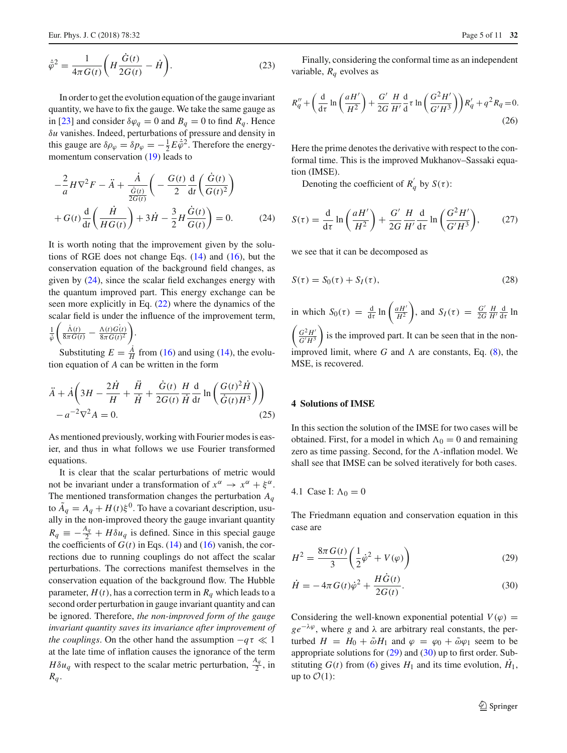$$
\dot{\bar{\varphi}}^2 = \frac{1}{4\pi G(t)} \bigg( H \frac{\dot{G}(t)}{2G(t)} - \dot{H} \bigg). \tag{23}
$$

In order to get the evolution equation of the gauge invariant quantity, we have to fix the gauge. We take the same gauge as in [\[23\]](#page-10-22) and consider  $\delta \varphi_q = 0$  and  $B_q = 0$  to find  $R_q$ . Hence δ*u* vanishes. Indeed, perturbations of pressure and density in this gauge are  $\delta \rho_{\varphi} = \delta p_{\varphi} = -\frac{1}{2} E \dot{\varphi}^2$ . Therefore the energymomentum conservation [\(19\)](#page-3-2) leads to

<span id="page-4-1"></span>
$$
-\frac{2}{a}H\nabla^2 F - \ddot{A} + \frac{\dot{A}}{\frac{\dot{G}(t)}{2G(t)}} \left( -\frac{G(t)}{2} \frac{d}{dt} \left( \frac{\dot{G}(t)}{G(t)^2} \right) + G(t) \frac{d}{dt} \left( \frac{\dot{H}}{H G(t)} \right) + 3\dot{H} - \frac{3}{2}H \frac{\dot{G}(t)}{G(t)} \right) = 0.
$$
 (24)

It is worth noting that the improvement given by the solutions of RGE does not change Eqs.  $(14)$  and  $(16)$ , but the conservation equation of the background field changes, as given by  $(24)$ , since the scalar field exchanges energy with the quantum improved part. This energy exchange can be seen more explicitly in Eq. [\(22\)](#page-3-1) where the dynamics of the scalar field is under the influence of the improvement term,  $\frac{1}{\Lambda(t)}$ (*t*)

$$
\frac{1}{\tilde{\phi}} \left( \frac{\Lambda(t)}{8\pi G(t)} - \frac{\Lambda(t)G(t)}{8\pi G(t)^2} \right).
$$

Substituting  $E = \frac{A}{H}$  from [\(16\)](#page-3-4) and using [\(14\)](#page-3-3), the evolution equation of *A* can be written in the form

$$
\ddot{A} + \dot{A} \left( 3H - \frac{2\dot{H}}{H} + \frac{\ddot{H}}{\dot{H}} + \frac{\dot{G}(t)}{2G(t)} \frac{H}{H} \frac{d}{dt} \ln \left( \frac{G(t)^2 \dot{H}}{\dot{G}(t)H^3} \right) \right) - a^{-2} \nabla^2 A = 0.
$$
\n(25)

As mentioned previously, working with Fourier modes is easier, and thus in what follows we use Fourier transformed equations.

It is clear that the scalar perturbations of metric would not be invariant under a transformation of  $x^{\alpha} \rightarrow x^{\alpha} + \xi^{\alpha}$ . The mentioned transformation changes the perturbation *Aq* to  $\tilde{A}_q = A_q + H(t)\xi^0$ . To have a covariant description, usually in the non-improved theory the gauge invariant quantity  $R_q \equiv -\frac{A_q}{2} + H \delta u_q$  is defined. Since in this special gauge the coefficients of  $G(t)$  in Eqs. [\(14\)](#page-3-3) and [\(16\)](#page-3-4) vanish, the corrections due to running couplings do not affect the scalar perturbations. The corrections manifest themselves in the conservation equation of the background flow. The Hubble parameter,  $H(t)$ , has a correction term in  $R_q$  which leads to a second order perturbation in gauge invariant quantity and can be ignored. Therefore, *the non-improved form of the gauge invariant quantity saves its invariance after improvement of the couplings*. On the other hand the assumption  $-q\tau \ll 1$ at the late time of inflation causes the ignorance of the term *H* $\delta u_q$  with respect to the scalar metric perturbation,  $\frac{A_q}{2}$ , in  $R_q$ .

<span id="page-4-4"></span>Finally, considering the conformal time as an independent variable,  $R_q$  evolves as

$$
R''_q + \left(\frac{d}{d\tau} \ln\left(\frac{aH'}{H^2}\right) + \frac{G'}{2G} \frac{H}{H'} \frac{d}{d\tau} \ln\left(\frac{G^2H'}{G'H^3}\right)\right) R'_q + q^2 R_q = 0.
$$
\n(26)

Here the prime denotes the derivative with respect to the conformal time. This is the improved Mukhanov–Sassaki equation (IMSE).

Denoting the coefficient of  $R_q$ <sup>*d*</sup> by  $S(\tau)$ :

$$
S(\tau) = \frac{\mathrm{d}}{\mathrm{d}\tau} \ln \left( \frac{aH'}{H^2} \right) + \frac{G'}{2G} \frac{H}{H'} \frac{\mathrm{d}}{\mathrm{d}\tau} \ln \left( \frac{G^2 H'}{G'H^3} \right), \tag{27}
$$

we see that it can be decomposed as

$$
S(\tau) = S_0(\tau) + S_I(\tau), \qquad (28)
$$

in which  $S_0(\tau) = \frac{d}{d\tau} \ln \left( \frac{aH^2}{H^2} \right)$ ), and  $S_I(\tau) = \frac{G'}{2G} \frac{H}{H'} \frac{d}{d\tau} \ln \frac{\tau}{d}$  $\int G^2 H'$  $\overline{G'H^3}$  is the improved part. It can be seen that in the nonimproved limit, where  $G$  and  $\Lambda$  are constants, Eq. [\(8\)](#page-2-1), the MSE, is recovered.

#### <span id="page-4-0"></span>**4 Solutions of IMSE**

In this section the solution of the IMSE for two cases will be obtained. First, for a model in which  $\Lambda_0 = 0$  and remaining zero as time passing. Second, for the  $\Lambda$ -inflation model. We shall see that IMSE can be solved iteratively for both cases.

# 4.1 Case I:  $\Lambda_0 = 0$

The Friedmann equation and conservation equation in this case are

<span id="page-4-2"></span>
$$
H^{2} = \frac{8\pi G(t)}{3} \left(\frac{1}{2}\dot{\varphi}^{2} + V(\varphi)\right)
$$
 (29)

<span id="page-4-3"></span>
$$
\dot{H} = -4\pi G(t)\dot{\varphi}^2 + \frac{HG(t)}{2G(t)}.
$$
\n(30)

Considering the well-known exponential potential  $V(\varphi)$  =  $ge^{-\lambda\varphi}$ , where *g* and  $\lambda$  are arbitrary real constants, the perturbed  $H = H_0 + \tilde{\omega}H_1$  and  $\varphi = \varphi_0 + \tilde{\omega}\varphi_1$  seem to be appropriate solutions for [\(29\)](#page-4-2) and [\(30\)](#page-4-3) up to first order. Substituting  $G(t)$  from [\(6\)](#page-2-2) gives  $H_1$  and its time evolution,  $H_1$ , up to  $\mathcal{O}(1)$ :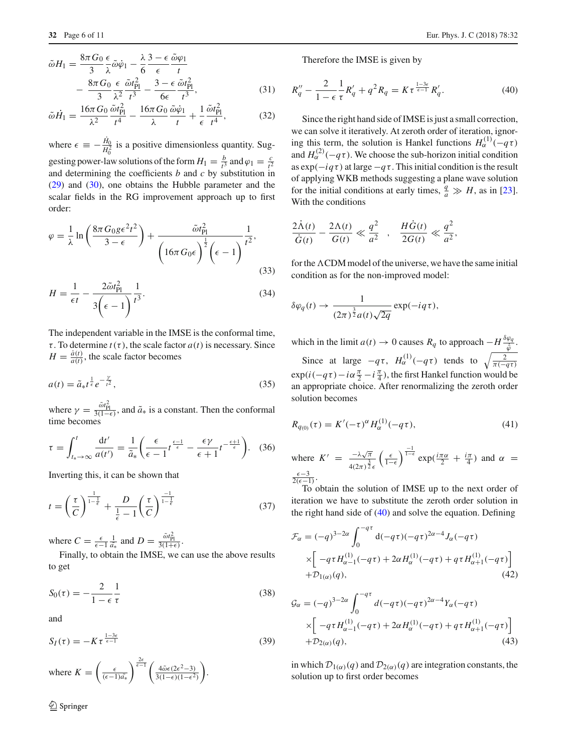$$
\tilde{\omega}H_1 = \frac{8\pi G_0}{3} \frac{\epsilon}{\lambda} \tilde{\omega}\dot{\varphi}_1 - \frac{\lambda}{6} \frac{3 - \epsilon}{\epsilon} \frac{\tilde{\omega}\varphi_1}{t} \n- \frac{8\pi G_0}{3} \frac{\epsilon}{\lambda^2} \frac{\tilde{\omega}t_{\text{Pl}}^2}{t^3} - \frac{3 - \epsilon}{6\epsilon} \frac{\tilde{\omega}t_{\text{Pl}}^2}{t^3},
$$
\n(31)

$$
\tilde{\omega}\dot{H}_1 = \frac{16\pi G_0}{\lambda^2} \frac{\tilde{\omega}t_{\text{Pl}}^2}{t^4} - \frac{16\pi G_0}{\lambda} \frac{\tilde{\omega}\dot{\varphi}_1}{t} + \frac{1}{\epsilon} \frac{\tilde{\omega}t_{\text{Pl}}^2}{t^4},\tag{32}
$$

where  $\epsilon \equiv -\frac{H_0}{H_0^2}$  is a positive dimensionless quantity. Suggesting power-law solutions of the form  $H_1 = \frac{b}{t^3}$  and  $\varphi_1 = \frac{c}{t^2}$ and determining the coefficients *b* and *c* by substitution in [\(29\)](#page-4-2) and [\(30\)](#page-4-3), one obtains the Hubble parameter and the scalar fields in the RG improvement approach up to first order:

$$
\varphi = \frac{1}{\lambda} \ln \left( \frac{8\pi G_0 g \epsilon^2 t^2}{3 - \epsilon} \right) + \frac{\tilde{\omega} t_{\text{Pl}}^2}{\left( 16\pi G_0 \epsilon \right)^{\frac{1}{2}} \left( \epsilon - 1 \right)^{\frac{1}{t^2}}},\tag{33}
$$

$$
H = \frac{1}{\epsilon t} - \frac{2\tilde{\omega}t_{\text{Pl}}^2}{3\left(\epsilon - 1\right)}\frac{1}{t^3}.\tag{34}
$$

The independent variable in the IMSE is the conformal time,  $\tau$ . To determine  $t(\tau)$ , the scale factor  $a(t)$  is necessary. Since  $H = \frac{\dot{a}(t)}{a(t)}$ , the scale factor becomes

$$
a(t) = \tilde{a}_{*}t^{\frac{1}{\epsilon}}e^{-\frac{\gamma}{t^{2}}},
$$
\n(35)

where  $\gamma = \frac{\tilde{\omega} t_{\text{Pl}}^2}{3(1-\epsilon)}$ , and  $\tilde{a}_*$  is a constant. Then the conformal time becomes

$$
\tau = \int_{t_{*} \to \infty}^{t} \frac{\mathrm{d}t'}{a(t')} = \frac{1}{\tilde{a}_{*}} \left( \frac{\epsilon}{\epsilon - 1} t^{\frac{\epsilon - 1}{\epsilon}} - \frac{\epsilon \gamma}{\epsilon + 1} t^{-\frac{\epsilon + 1}{\epsilon}} \right). \tag{36}
$$

Inverting this, it can be shown that

$$
t = \left(\frac{\tau}{C}\right)^{\frac{1}{1-\frac{1}{\epsilon}}} + \frac{D}{\frac{1}{\epsilon} - 1} \left(\frac{\tau}{C}\right)^{\frac{-1}{1-\frac{1}{\epsilon}}} \tag{37}
$$

where  $C = \frac{\epsilon}{\epsilon - 1} \frac{1}{\tilde{a}_*}$  and  $D = \frac{\tilde{\omega} t_{\text{Pl}}^2}{3(1+\epsilon)}$ .

Finally, to obtain the IMSE, we can use the above results to get

$$
S_0(\tau) = -\frac{2}{1 - \epsilon} \frac{1}{\tau}
$$
\n(38)

and

$$
S_I(\tau) = -K\tau^{\frac{1-3\epsilon}{\epsilon - 1}}\tag{39}
$$

where 
$$
K = \left(\frac{\epsilon}{(\epsilon - 1)\tilde{a}_*}\right)^{\frac{2\epsilon}{\epsilon - 1}} \left(\frac{4\tilde{\omega}\epsilon(2\epsilon^2 - 3)}{3(1 - \epsilon)(1 - \epsilon^2)}\right).
$$

 $\mathcal{D}$  Springer

<span id="page-5-0"></span>Therefore the IMSE is given by

$$
R''_q - \frac{2}{1 - \epsilon} \frac{1}{\tau} R'_q + q^2 R_q = K \tau^{\frac{1 - 3\epsilon}{\epsilon - 1}} R'_q.
$$
 (40)

Since the right hand side of IMSE is just a small correction, we can solve it iteratively. At zeroth order of iteration, ignoring this term, the solution is Hankel functions  $H_{\alpha}^{(1)}(-q\tau)$ and  $H_{\alpha}^{(2)}(-q\tau)$ . We choose the sub-horizon initial condition as  $\exp(-i q \tau)$  at large  $-q \tau$ . This initial condition is the result of applying WKB methods suggesting a plane wave solution for the initial conditions at early times,  $\frac{q}{a} \gg H$ , as in [\[23](#page-10-22)]. With the conditions

$$
\frac{2\dot{\Lambda}(t)}{\dot{G}(t)} - \frac{2\Lambda(t)}{G(t)} \ll \frac{q^2}{a^2} , \quad \frac{H\dot{G}(t)}{2G(t)} \ll \frac{q^2}{a^2},
$$

for the  $\Lambda$ CDM model of the universe, we have the same initial condition as for the non-improved model:

$$
\delta \varphi_q(t) \to \frac{1}{(2\pi)^{\frac{3}{2}} a(t) \sqrt{2q}} \exp(-i q \tau),
$$

which in the limit  $a(t) \to 0$  causes  $R_q$  to approach  $-\frac{H \frac{\delta \varphi_q}{\phi}}{\phi}$ . Since at large  $-q\tau$ ,  $H_{\alpha}^{(1)}(-q\tau)$  tends to  $\sqrt{\frac{2}{\pi(-q\tau)}}$  $\exp(i(-q\tau) - i\alpha \frac{\pi}{2} - i\frac{\pi}{4})$ , the first Hankel function would be an appropriate choice. After renormalizing the zeroth order solution becomes

$$
R_{q_{(0)}}(\tau) = K'(-\tau)^{\alpha} H_{\alpha}^{(1)}(-q\tau), \qquad (41)
$$

where 
$$
K' = \frac{-\lambda \sqrt{\pi}}{4(2\pi)^{\frac{3}{2}} \epsilon} \left(\frac{\epsilon}{1-\epsilon}\right)^{\frac{-1}{1-\epsilon}} \exp(\frac{i\pi \alpha}{2} + \frac{i\pi}{4})
$$
 and  $\alpha = \frac{\epsilon - 3}{2(\epsilon - 1)}$ .  
To obtain the solution of IMSE up to the next order of

iteration we have to substitute the zeroth order solution in the right hand side of [\(40\)](#page-5-0) and solve the equation. Defining

$$
\mathcal{F}_{\alpha} = (-q)^{3-2\alpha} \int_0^{-q\tau} d(-q\tau)(-q\tau)^{2\alpha-4} J_{\alpha}(-q\tau)
$$
  
 
$$
\times \left[ -q\tau H_{\alpha-1}^{(1)}(-q\tau) + 2\alpha H_{\alpha}^{(1)}(-q\tau) + q\tau H_{\alpha+1}^{(1)}(-q\tau) \right]
$$
  
+
$$
\mathcal{D}_{1(\alpha)}(q),
$$
 (42)

$$
\mathcal{G}_{\alpha} = (-q)^{3-2\alpha} \int_0^{-q\tau} d(-q\tau)(-q\tau)^{2\alpha-4} Y_{\alpha}(-q\tau)
$$
  
 
$$
\times \left[ -q\tau H_{\alpha-1}^{(1)}(-q\tau) + 2\alpha H_{\alpha}^{(1)}(-q\tau) + q\tau H_{\alpha+1}^{(1)}(-q\tau) \right]
$$
  
+
$$
\mathcal{D}_{2(\alpha)}(q),
$$
 (43)

in which  $\mathcal{D}_{1(\alpha)}(q)$  and  $\mathcal{D}_{2(\alpha)}(q)$  are integration constants, the solution up to first order becomes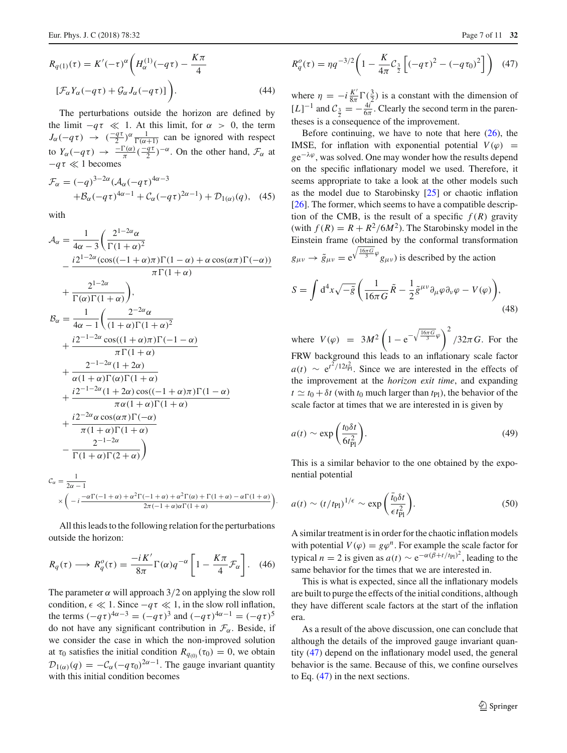$$
R_{q(1)}(\tau) = K'(-\tau)^{\alpha} \left( H_{\alpha}^{(1)}(-q\tau) - \frac{K\pi}{4} \right)
$$
  

$$
[\mathcal{F}_{\alpha}Y_{\alpha}(-q\tau) + \mathcal{G}_{\alpha}J_{\alpha}(-q\tau)] \bigg).
$$
 (44)

The perturbations outside the horizon are defined by the limit  $-q\tau \ll 1$ . At this limit, for  $\alpha > 0$ , the term  $J_{\alpha}(-q\tau) \rightarrow \left(-\frac{q\tau}{2}\right)^{\alpha}\frac{1}{\Gamma(\alpha+1)}$  can be ignored with respect to  $Y_\alpha(-q\tau) \to \frac{-\Gamma(\alpha)}{\pi} (\frac{-q\tau}{2})^{-\alpha}$ . On the other hand,  $\mathcal{F}_\alpha$  at  $-q\tau \ll 1$  becomes

$$
\mathcal{F}_{\alpha} = (-q)^{3-2\alpha} (\mathcal{A}_{\alpha}(-q\tau)^{4\alpha-3} + \mathcal{B}_{\alpha}(-q\tau)^{4\alpha-1} + \mathcal{C}_{\alpha}(-q\tau)^{2\alpha-1}) + \mathcal{D}_{1(\alpha)}(q), \quad (45)
$$

with

$$
\mathcal{A}_{\alpha} = \frac{1}{4\alpha - 3} \left( \frac{2^{1-2\alpha} \alpha}{\Gamma(1+\alpha)^2} - \frac{i2^{1-2\alpha} (\cos((-1+\alpha)\pi)\Gamma(1-\alpha) + \alpha \cos(\alpha \pi)\Gamma(-\alpha))}{\pi \Gamma(1+\alpha)} + \frac{2^{1-2\alpha}}{\Gamma(\alpha)\Gamma(1+\alpha)} \right),
$$
\n
$$
\mathcal{B}_{\alpha} = \frac{1}{4\alpha - 1} \left( \frac{2^{-2\alpha} \alpha}{(1+\alpha)\Gamma(1+\alpha)^2} + \frac{i2^{-1-2\alpha} \cos((1+\alpha)\pi)\Gamma(-1-\alpha)}{\pi \Gamma(1+\alpha)} + \frac{2^{-1-2\alpha} (1+2\alpha)}{\alpha(1+\alpha)\Gamma(\alpha)\Gamma(1+\alpha)} + \frac{i2^{-1-2\alpha} (1+2\alpha) \cos((-1+\alpha)\pi)\Gamma(1-\alpha)}{\pi \alpha(1+\alpha)\Gamma(1+\alpha)} + \frac{i2^{-2\alpha} \alpha \cos(\alpha \pi)\Gamma(-\alpha)}{\pi(1+\alpha)\Gamma(1+\alpha)} - \frac{2^{-1-2\alpha}}{\Gamma(1+\alpha)\Gamma(2+\alpha)} \right)
$$
\n
$$
C_{\alpha} = \frac{1}{2\alpha - 1}
$$
\n
$$
\times \left( -i \frac{-\alpha \Gamma(-1+\alpha) + \alpha^2 \Gamma(-1+\alpha) + \alpha^2 \Gamma(\alpha) + \Gamma(1+\alpha) - \alpha \Gamma(1+\alpha)}{2\pi(-1+\alpha)\alpha \Gamma(1+\alpha)} \right).
$$

All this leads to the following relation for the perturbations outside the horizon:

$$
R_q(\tau) \longrightarrow R_q^o(\tau) = \frac{-iK'}{8\pi} \Gamma(\alpha) q^{-\alpha} \left[ 1 - \frac{K\pi}{4} \mathcal{F}_\alpha \right]. \tag{46}
$$

The parameter  $\alpha$  will approach 3/2 on applying the slow roll condition,  $\epsilon \ll 1$ . Since  $-q\tau \ll 1$ , in the slow roll inflation, the terms  $(-q\tau)^{4\alpha-3} = (-q\tau)^3$  and  $(-q\tau)^{4\alpha-1} = (-q\tau)^5$ do not have any significant contribution in  $\mathcal{F}_{\alpha}$ . Beside, if we consider the case in which the non-improved solution at  $\tau_0$  satisfies the initial condition  $R_{q_{(0)}}(\tau_0) = 0$ , we obtain  $\mathcal{D}_{1(\alpha)}(q) = -\mathcal{C}_{\alpha}(-q\tau_0)^{2\alpha-1}$ . The gauge invariant quantity with this initial condition becomes

$$
R_q^o(\tau) = \eta q^{-3/2} \bigg( 1 - \frac{K}{4\pi} C_{\frac{3}{2}} \bigg[ (-q\tau)^2 - (-q\tau_0)^2 \bigg] \bigg) \tag{47}
$$

where  $\eta = -i \frac{K'}{8\pi} \Gamma(\frac{3}{2})$  is a constant with the dimension of  $[L]^{-1}$  and  $C_{\frac{3}{2}} = -\frac{4i}{6\pi}$ . Clearly the second term in the parentheses is a consequence of the improvement.

Before continuing, we have to note that here  $(26)$ , the IMSE, for inflation with exponential potential  $V(\varphi)$  =  $ge^{-\lambda\varphi}$ , was solved. One may wonder how the results depend on the specific inflationary model we used. Therefore, it seems appropriate to take a look at the other models such as the model due to Starobinsky [\[25\]](#page-10-23) or chaotic inflation [\[26](#page-10-24)]. The former, which seems to have a compatible description of the CMB, is the result of a specific  $f(R)$  gravity (with  $f(R) = R + R^2/6M^2$ ). The Starobinsky model in the Einstein frame (obtained by the conformal transformation  $g_{\mu\nu} \rightarrow \tilde{g}_{\mu\nu} = e^{\sqrt{\frac{16\pi G}{3}}\varphi} g_{\mu\nu}$  is described by the action

$$
S = \int d^4x \sqrt{-\tilde{g}} \left( \frac{1}{16\pi G} \tilde{R} - \frac{1}{2} \tilde{g}^{\mu\nu} \partial_\mu \varphi \partial_\nu \varphi - V(\varphi) \right), \tag{48}
$$

where  $V(\varphi) = 3M^2 \left(1 - e^{-\sqrt{\frac{16\pi G}{3}}\varphi}\right)^2 / 32\pi G$ . For the FRW background this leads to an inflationary scale factor  $a(t) \sim e^{t^2/12t_{\text{Pl}}^2}$ . Since we are interested in the effects of the improvement at the *horizon exit time*, and expanding  $t \approx t_0 + \delta t$  (with  $t_0$  much larger than  $t_{p}$ ), the behavior of the scale factor at times that we are interested in is given by

$$
a(t) \sim \exp\left(\frac{t_0 \delta t}{6t_{\rm Pl}^2}\right).
$$
 (49)

This is a similar behavior to the one obtained by the exponential potential

$$
a(t) \sim (t/t_{\rm Pl})^{1/\epsilon} \sim \exp\left(\frac{\bar{t}_0 \delta t}{\epsilon t_{\rm Pl}^2}\right).
$$
 (50)

A similar treatment is in order for the chaotic inflation models with potential  $V(\varphi) = g\varphi^n$ . For example the scale factor for typical *n* = 2 is given as  $a(t) \sim e^{-\alpha(\beta + t/t_{\text{Pl}})^2}$ , leading to the same behavior for the times that we are interested in.

This is what is expected, since all the inflationary models are built to purge the effects of the initial conditions, although they have different scale factors at the start of the inflation era.

<span id="page-6-0"></span>As a result of the above discussion, one can conclude that although the details of the improved gauge invariant quantity [\(47\)](#page-6-0) depend on the inflationary model used, the general behavior is the same. Because of this, we confine ourselves to Eq. [\(47\)](#page-6-0) in the next sections.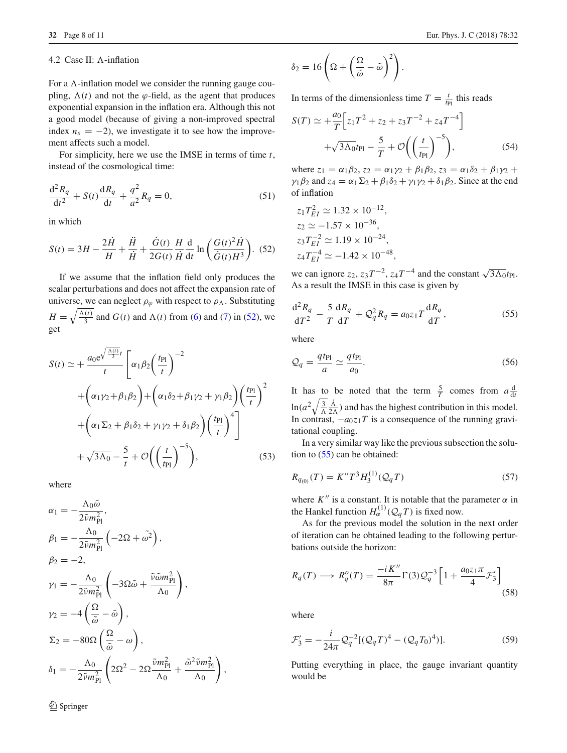#### 4.2 Case II:  $\Lambda$ -inflation

For a  $\Lambda$ -inflation model we consider the running gauge coupling,  $\Lambda(t)$  and not the  $\varphi$ -field, as the agent that produces exponential expansion in the inflation era. Although this not a good model (because of giving a non-improved spectral index  $n_s = -2$ ), we investigate it to see how the improvement affects such a model.

For simplicity, here we use the IMSE in terms of time *t*, instead of the cosmological time:

$$
\frac{d^2 R_q}{dt^2} + S(t) \frac{dR_q}{dt} + \frac{q^2}{a^2} R_q = 0,
$$
\n(51)

<span id="page-7-0"></span>in which

$$
S(t) = 3H - \frac{2\dot{H}}{H} + \frac{\ddot{H}}{\dot{H}} + \frac{\dot{G}(t)}{2G(t)} \frac{H}{\dot{H}} \frac{d}{dt} \ln\left(\frac{G(t)^2 \dot{H}}{\dot{G}(t)H^3}\right).
$$
 (52)

If we assume that the inflation field only produces the scalar perturbations and does not affect the expansion rate of universe, we can neglect  $\rho_{\varphi}$  with respect to  $\rho_{\Lambda}$ . Substituting  $H = \sqrt{\frac{\Lambda(t)}{3}}$  and  $G(t)$  and  $\Lambda(t)$  from [\(6\)](#page-2-2) and [\(7\)](#page-2-3) in [\(52\)](#page-7-0), we get

$$
S(t) \simeq + \frac{a_0 e^{\sqrt{\frac{\Lambda(t)}{3}}t}}{t} \left[ \alpha_1 \beta_2 \left( \frac{t_{\text{Pl}}}{t} \right)^{-2} + \left( \alpha_1 \gamma_2 + \beta_1 \beta_2 \right) + \left( \alpha_1 \delta_2 + \beta_1 \gamma_2 + \gamma_1 \beta_2 \right) \left( \frac{t_{\text{Pl}}}{t} \right)^2 + \left( \alpha_1 \Sigma_2 + \beta_1 \delta_2 + \gamma_1 \gamma_2 + \delta_1 \beta_2 \right) \left( \frac{t_{\text{Pl}}}{t} \right)^{4} \right] + \sqrt{3\Lambda_0} - \frac{5}{t} + \mathcal{O}\left( \left( \frac{t}{t_{\text{Pl}}} \right)^{-5} \right), \tag{53}
$$

where

$$
\alpha_1 = -\frac{\Lambda_0 \tilde{\omega}}{2\tilde{\nu} m_{\text{Pl}}^2},
$$
\n
$$
\beta_1 = -\frac{\Lambda_0}{2\tilde{\nu} m_{\text{Pl}}^2} \left( -2\Omega + \tilde{\omega}^2 \right),
$$
\n
$$
\beta_2 = -2,
$$
\n
$$
\gamma_1 = -\frac{\Lambda_0}{2\tilde{\nu} m_{\text{Pl}}^2} \left( -3\Omega \tilde{\omega} + \frac{\tilde{\nu} \tilde{\omega} m_{\text{Pl}}^2}{\Lambda_0} \right),
$$
\n
$$
\gamma_2 = -4 \left( \frac{\Omega}{\tilde{\omega}} - \tilde{\omega} \right),
$$
\n
$$
\Sigma_2 = -80\Omega \left( \frac{\Omega}{\tilde{\omega}} - \omega \right),
$$
\n
$$
\delta_1 = -\frac{\Lambda_0}{2\tilde{\nu} m_{\text{Pl}}^2} \left( 2\Omega^2 - 2\Omega \frac{\tilde{\nu} m_{\text{Pl}}^2}{\Lambda_0} + \frac{\tilde{\omega}^2 \tilde{\nu} m_{\text{Pl}}^2}{\Lambda_0} \right),
$$

$$
\delta_2 = 16 \left( \Omega + \left( \frac{\Omega}{\tilde{\omega}} - \tilde{\omega} \right)^2 \right).
$$

In terms of the dimensionless time  $T = \frac{t}{t_{\text{Pl}}}$  this reads

$$
S(T) \simeq +\frac{a_0}{T} \Big[ z_1 T^2 + z_2 + z_3 T^{-2} + z_4 T^{-4} \Big] + \sqrt{3\Lambda_0} t_{\text{Pl}} - \frac{5}{T} + \mathcal{O}\left( \left(\frac{t}{t_{\text{Pl}}} \right)^{-5} \right),\tag{54}
$$

where  $z_1 = \alpha_1 \beta_2$ ,  $z_2 = \alpha_1 \gamma_2 + \beta_1 \beta_2$ ,  $z_3 = \alpha_1 \delta_2 + \beta_1 \gamma_2 + \beta_2 \gamma_1$  $\gamma_1 \beta_2$  and  $z_4 = \alpha_1 \Sigma_2 + \beta_1 \delta_2 + \gamma_1 \gamma_2 + \delta_1 \beta_2$ . Since at the end of inflation

$$
z_1 T_{EI}^2 \simeq 1.32 \times 10^{-12},
$$
  
\n
$$
z_2 \simeq -1.57 \times 10^{-36},
$$
  
\n
$$
z_3 T_{EI}^{-2} \simeq 1.19 \times 10^{-24},
$$
  
\n
$$
z_4 T_{EI}^{-4} \simeq -1.42 \times 10^{-48},
$$

we can ignore  $z_2$ ,  $z_3T^{-2}$ ,  $z_4T^{-4}$  and the constant  $\sqrt{3\Lambda_0}t_{\text{Pl}}$ . As a result the IMSE in this case is given by

<span id="page-7-1"></span>
$$
\frac{\mathrm{d}^2 R_q}{\mathrm{d}T^2} - \frac{5}{T} \frac{\mathrm{d}R_q}{\mathrm{d}T} + \mathcal{Q}_q^2 R_q = a_0 z_1 T \frac{\mathrm{d}R_q}{\mathrm{d}T},\tag{55}
$$

where

$$
\mathcal{Q}_q = \frac{q t_{\rm Pl}}{a} \simeq \frac{q t_{\rm Pl}}{a_0}.\tag{56}
$$

It has to be noted that the term  $\frac{5}{T}$  comes from  $a \frac{d}{dt}$  $\ln(a^2\sqrt{\frac{3}{\Lambda}}\frac{\dot{\Lambda}}{2\Lambda})$  and has the highest contribution in this model. In contrast,  $-a_0z_1T$  is a consequence of the running gravitational coupling.

In a very similar way like the previous subsection the solution to [\(55\)](#page-7-1) can be obtained:

$$
R_{q_{(0)}}(T) = K''T^3 H_3^{(1)}(\mathcal{Q}_q T) \tag{57}
$$

where  $K''$  is a constant. It is notable that the parameter  $\alpha$  in the Hankel function  $H_{\alpha}^{(1)}(Q_qT)$  is fixed now.

As for the previous model the solution in the next order of iteration can be obtained leading to the following perturbations outside the horizon:

$$
R_q(T) \longrightarrow R_q^o(T) = \frac{-i K''}{8\pi} \Gamma(3) \mathcal{Q}_q^{-3} \left[ 1 + \frac{a_0 z_1 \pi}{4} \mathcal{F}_3' \right]
$$
\n<sup>(58)</sup>

where

$$
\mathcal{F}'_3 = -\frac{i}{24\pi} \mathcal{Q}_q^{-2} [(\mathcal{Q}_q T)^4 - (\mathcal{Q}_q T_0)^4)].
$$
 (59)

Putting everything in place, the gauge invariant quantity would be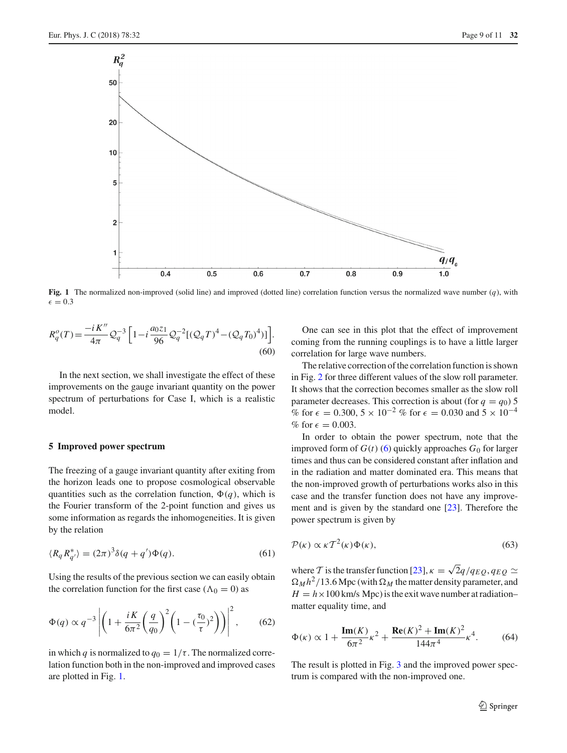

<span id="page-8-1"></span>**Fig. 1** The normalized non-improved (solid line) and improved (dotted line) correlation function versus the normalized wave number (*q*), with  $\epsilon = 0.3$ 

$$
R_q^o(T) = \frac{-i K''}{4\pi} \mathcal{Q}_q^{-3} \left[ 1 - i \frac{a_0 z_1}{96} \mathcal{Q}_q^{-2} [(\mathcal{Q}_q T)^4 - (\mathcal{Q}_q T_0)^4)] \right].
$$
\n(60)

In the next section, we shall investigate the effect of these improvements on the gauge invariant quantity on the power spectrum of perturbations for Case I, which is a realistic model.

## <span id="page-8-0"></span>**5 Improved power spectrum**

The freezing of a gauge invariant quantity after exiting from the horizon leads one to propose cosmological observable quantities such as the correlation function,  $\Phi(q)$ , which is the Fourier transform of the 2-point function and gives us some information as regards the inhomogeneities. It is given by the relation

$$
\langle R_q R_{q'}^* \rangle = (2\pi)^3 \delta(q+q') \Phi(q). \tag{61}
$$

Using the results of the previous section we can easily obtain the correlation function for the first case ( $\Lambda_0 = 0$ ) as

$$
\Phi(q) \propto q^{-3} \left| \left( 1 + \frac{iK}{6\pi^2} \left( \frac{q}{q_0} \right)^2 \left( 1 - \left( \frac{\tau_0}{\tau} \right)^2 \right) \right) \right|^2, \qquad (62)
$$

in which *q* is normalized to  $q_0 = 1/\tau$ . The normalized correlation function both in the non-improved and improved cases are plotted in Fig. [1.](#page-8-1)

One can see in this plot that the effect of improvement coming from the running couplings is to have a little larger correlation for large wave numbers.

The relative correction of the correlation function is shown in Fig. [2](#page-9-0) for three different values of the slow roll parameter. It shows that the correction becomes smaller as the slow roll parameter decreases. This correction is about (for  $q = q_0$ ) 5 % for  $\epsilon = 0.300, 5 \times 10^{-2}$  % for  $\epsilon = 0.030$  and  $5 \times 10^{-4}$ % for  $\epsilon = 0.003$ .

In order to obtain the power spectrum, note that the improved form of  $G(t)$  [\(6\)](#page-2-2) quickly approaches  $G_0$  for larger times and thus can be considered constant after inflation and in the radiation and matter dominated era. This means that the non-improved growth of perturbations works also in this case and the transfer function does not have any improvement and is given by the standard one [\[23](#page-10-22)]. Therefore the power spectrum is given by

$$
\mathcal{P}(\kappa) \propto \kappa \, T^2(\kappa) \Phi(\kappa),\tag{63}
$$

where *T* is the transfer function [\[23\]](#page-10-22),  $\kappa = \sqrt{2}q/q_{EO}, q_{EO} \simeq$  $\Omega_M h^2 / 13.6$  Mpc (with  $\Omega_M$  the matter density parameter, and  $H = h \times 100$  km/s Mpc) is the exit wave number at radiation– matter equality time, and

$$
\Phi(\kappa) \propto 1 + \frac{\text{Im}(K)}{6\pi^2} \kappa^2 + \frac{\text{Re}(K)^2 + \text{Im}(K)^2}{144\pi^4} \kappa^4. \tag{64}
$$

The result is plotted in Fig. [3](#page-9-1) and the improved power spectrum is compared with the non-improved one.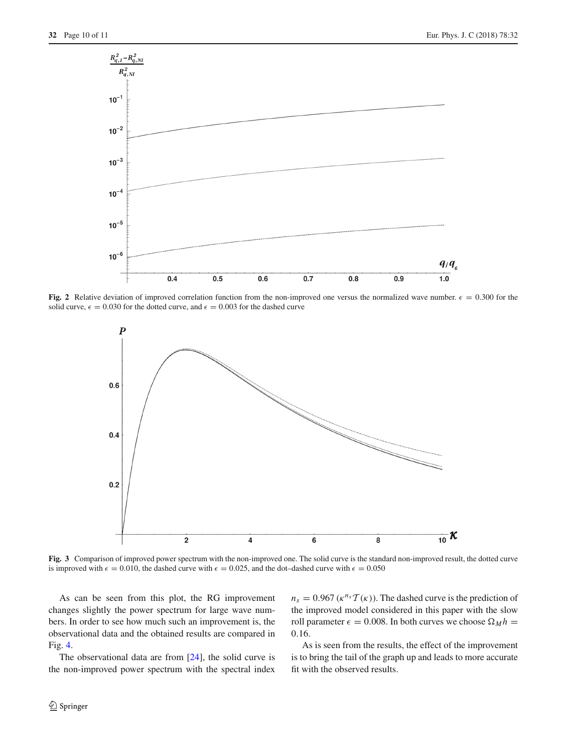

**Fig. 2** Relative deviation of improved correlation function from the non-improved one versus the normalized wave number.  $\epsilon = 0.300$  for the solid curve,  $\epsilon = 0.030$  for the dotted curve, and  $\epsilon = 0.003$  for the dashed curve

<span id="page-9-0"></span>

<span id="page-9-1"></span>**Fig. 3** Comparison of improved power spectrum with the non-improved one. The solid curve is the standard non-improved result, the dotted curve is improved with  $\epsilon = 0.010$ , the dashed curve with  $\epsilon = 0.025$ , and the dot-dashed curve with  $\epsilon = 0.050$ 

As can be seen from this plot, the RG improvement changes slightly the power spectrum for large wave numbers. In order to see how much such an improvement is, the observational data and the obtained results are compared in Fig. [4.](#page-10-25)

The observational data are from  $[24]$ , the solid curve is the non-improved power spectrum with the spectral index  $n_s = 0.967 \left( \kappa^{n_s} T(\kappa) \right)$ . The dashed curve is the prediction of the improved model considered in this paper with the slow roll parameter  $\epsilon = 0.008$ . In both curves we choose  $\Omega_M h =$ 0.16.

As is seen from the results, the effect of the improvement is to bring the tail of the graph up and leads to more accurate fit with the observed results.